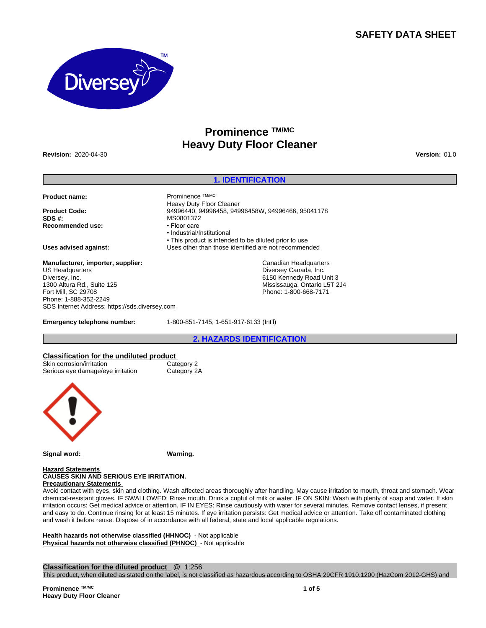# **SAFETY DATA SHEET**



# **Prominence TM/MC Heavy Duty Floor Cleaner**

**Revision:** 2020-04-30 **Version:** 01.0

### **1. IDENTIFICATION**

**Product name:** Prominence TM/MC

**Recommended use:** 

**Manufacturer, importer, supplier:** US Headquarters Diversey, Inc. 1300 Altura Rd., Suite 125 Fort Mill, SC 29708 Phone: 1-888-352-2249 SDS Internet Address: https://sds.diversey.com

**Product Code:** 94996440, 94996458, 94996458W, 94996466, 95041178 **MS0801372**<br>• Floor care •Industrial/Institutional • This product is intended to be diluted prior to use **Uses advised against:** Uses other than those identified are not recommended

> Canadian Headquarters Diversey Canada, Inc. 6150 Kennedy Road Unit 3 Mississauga, Ontario L5T 2J4 Phone: 1-800-668-7171

**Emergency telephone number:** 1-800-851-7145; 1-651-917-6133 (Int'l)

Heavy Duty Floor Cleaner

**2. HAZARDS IDENTIFICATION**

# **Classification for the undiluted product**

| Skin corrosion/irritation         | Category 2  |
|-----------------------------------|-------------|
| Serious eye damage/eye irritation | Category 2A |



**Signal word: Warning.**

#### **Hazard Statements CAUSES SKIN AND SERIOUS EYE IRRITATION. Precautionary Statements**

Avoid contact with eyes, skin and clothing. Wash affected areas thoroughly after handling. May cause irritation to mouth, throat and stomach. Wear chemical-resistant gloves. IF SWALLOWED: Rinse mouth. Drink a cupful of milk or water. IF ON SKIN: Wash with plenty of soap and water. If skin irritation occurs: Get medical advice or attention. IF IN EYES: Rinse cautiously with water for several minutes. Remove contact lenses, if present and easy to do. Continue rinsing for at least 15 minutes. If eye irritation persists: Get medical advice or attention. Take off contaminated clothing and wash it before reuse. Dispose of in accordance with all federal, state and local applicable regulations.

**Health hazards not otherwise classified (HHNOC)** - Not applicable **Physical hazards not otherwise classified (PHNOC)** - Not applicable

**Classification for the diluted product** @ 1:256

This product, when diluted as stated on the label, is not classified as hazardous according to OSHA 29CFR 1910.1200 (HazCom 2012-GHS) and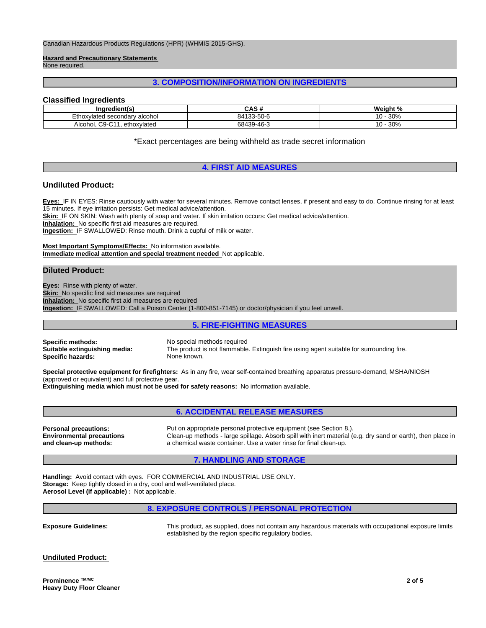Canadian Hazardous Products Regulations (HPR) (WHMIS 2015-GHS).

**Hazard and Precautionary Statements**  None required.

# **3. COMPOSITION/INFORMATION ON INGREDIENTS**

# **Classified Ingredients**

| Ingredient(s)                                  | CAS#                    | Weight %<br>7٥ |
|------------------------------------------------|-------------------------|----------------|
| Ethoxylated secondary alcohol                  | $.33 - 50 - 6$<br>84132 | 30%<br>. U -   |
| $\sim$<br>C9<br>Alcohol.<br>ethoxvlated<br>ושי | 68439-46-3              | 30%<br>.u -    |

\*Exact percentages are being withheld as trade secret information

### **4. FIRST AID MEASURES**

### **Undiluted Product:**

**Eyes:** IF IN EYES: Rinse cautiously with water for several minutes. Remove contact lenses, if present and easy to do. Continue rinsing for at least 15 minutes. If eye irritation persists: Get medical advice/attention.

**Skin:** IF ON SKIN: Wash with plenty of soap and water. If skin irritation occurs: Get medical advice/attention.

**Inhalation:** No specific first aid measures are required.

**Ingestion:** IF SWALLOWED: Rinse mouth. Drink a cupful of milk or water.

**Most Important Symptoms/Effects:** No information available. **Immediate medical attention and special treatment needed** Not applicable.

# **Diluted Product:**

**Eyes:** Rinse with plenty of water. **Skin:** No specific first aid measures are required **Inhalation:** No specific first aid measures are required **Ingestion:** IF SWALLOWED: Call a Poison Center (1-800-851-7145) or doctor/physician if you feel unwell.

### **5. FIRE-FIGHTING MEASURES**

**Specific methods:** No special methods required **Specific hazards:** 

**Suitable extinguishing media:** The product is not flammable. Extinguish fire using agent suitable for surrounding fire.

**Special protective equipment for firefighters:** As in any fire, wear self-contained breathing apparatus pressure-demand, MSHA/NIOSH (approved or equivalent) and full protective gear.

**Extinguishing media which must not be used for safety reasons:** No information available.

**6. ACCIDENTAL RELEASE MEASURES**

**Environmental precautions and clean-up methods:**

**Personal precautions:** Put on appropriate personal protective equipment (see Section 8.). Clean-up methods - large spillage. Absorb spill with inert material (e.g. dry sand or earth), then place in a chemical waste container. Use a water rinse for final clean-up.

# **7. HANDLING AND STORAGE**

**Handling:** Avoid contact with eyes. FOR COMMERCIAL AND INDUSTRIAL USE ONLY. **Storage:** Keep tightly closed in a dry, cool and well-ventilated place. **Aerosol Level (if applicable) :** Not applicable.

# **8. EXPOSURE CONTROLS / PERSONAL PROTECTION**

**Exposure Guidelines:** This product, as supplied, does not contain any hazardous materials with occupational exposure limits established by the region specific regulatory bodies.

**Undiluted Product:**

**Prominence TM/MC Heavy Duty Floor Cleaner**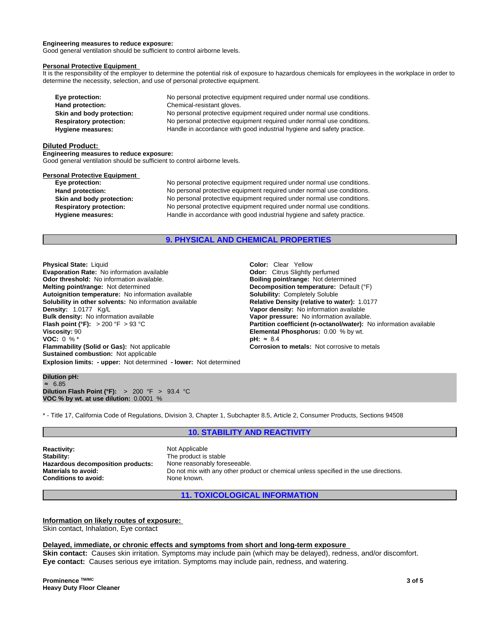#### **Engineering measures to reduce exposure:**

Good general ventilation should be sufficient to control airborne levels.

#### **Personal Protective Equipment**

It is the responsibility of the employer to determine the potential risk of exposure to hazardous chemicals for employees in the workplace in order to determine the necessity, selection, and use of personal protective equipment.

| Eye protection:                | No personal protective equipment required under normal use conditions. |
|--------------------------------|------------------------------------------------------------------------|
| Hand protection:               | Chemical-resistant gloves.                                             |
| Skin and body protection:      | No personal protective equipment required under normal use conditions. |
| <b>Respiratory protection:</b> | No personal protective equipment required under normal use conditions. |
| Hygiene measures:              | Handle in accordance with good industrial hygiene and safety practice. |

#### **Diluted Product:**

**Engineering measures to reduce exposure:**

Good general ventilation should be sufficient to control airborne levels.

#### **Personal Protective Equipment**

**Eye protection:** No personal protective equipment required under normal use conditions. **Hand protection:** No personal protective equipment required under normal use conditions. **Skin and body protection:** No personal protective equipment required under normal use conditions. **Respiratory protection:** No personal protective equipment required under normal use conditions. **Hygiene measures:** Handle in accordance with good industrial hygiene and safety practice.

# **9. PHYSICAL AND CHEMICAL PROPERTIES**

**Explosion limits: - upper:** Not determined **- lower:** Not determined **Physical State:** Liquid **Color:** Clear Yellow **Evaporation Rate:** No information available **Odor:** Citrus Slightly perfumed **Odor threshold:** No information available. **Boiling point/range: Not determined Melting point/range: Defaul**<br> **Melting point/range:** Not determined **Boiling point in the Decomposition temperature:** Defaul **Autoignition temperature:** No information available **Solubility: Completely Solubile**<br> **Solubility in other solvents:** No information available **Relative Density (relative to water):** 1.0177 **Solubility in other solvents: No information available Density: 1.0177 Kg/L Density:** 1.0177 Kg/L **Vapor density:** No information available **Flash point (°F):** > 200 °F > 93 °C **Partition coefficient (n-octanol/water):** No information available **Viscosity:** 90 °C **Viscosity:** 90 **Viscosity:** 90 **Viscosity:** 90 **VOC:** 0 % <sup>★</sup><br> **VOC:** 0 % <sup>\*</sup> **PH:** ≈ 8.4 **VOC:** 0 % \* **pH:** ≈8.4 **Flammability (Solid or Gas):** Not applicable **Corrosion to metals:** Not corrosive to metals **Sustained combustion:** Not applicable

**Decomposition temperature:** Default (°F)<br>**Solubility:** Completely Soluble **Vapor pressure:** No information available.

#### **Dilution pH:** ≈ 6.85 **Dilution Flash Point (°F):** > 200 °F > 93.4 °C **VOC % by wt. at use dilution:** 0.0001 %

\* - Title 17, California Code of Regulations, Division 3, Chapter 1, Subchapter 8.5, Article 2, Consumer Products, Sections 94508

## **10. STABILITY AND REACTIVITY**

**Reactivity:** Not Applicable Stability: Not Applicable Stability: **Hazardous decomposition products:**<br>Materials to avoid: **Conditions to avoid:** None known.

The product is stable<br>None reasonably foreseeable. Do not mix with any other product or chemical unless specified in the use directions.

**11. TOXICOLOGICAL INFORMATION**

**Information on likely routes of exposure:** Skin contact, Inhalation, Eye contact

#### **Delayed, immediate, or chronic effects and symptoms from short and long-term exposure**

**Skin contact:** Causes skin irritation. Symptoms may include pain (which may be delayed), redness, and/or discomfort. **Eye contact:** Causes serious eye irritation. Symptoms may include pain, redness, and watering.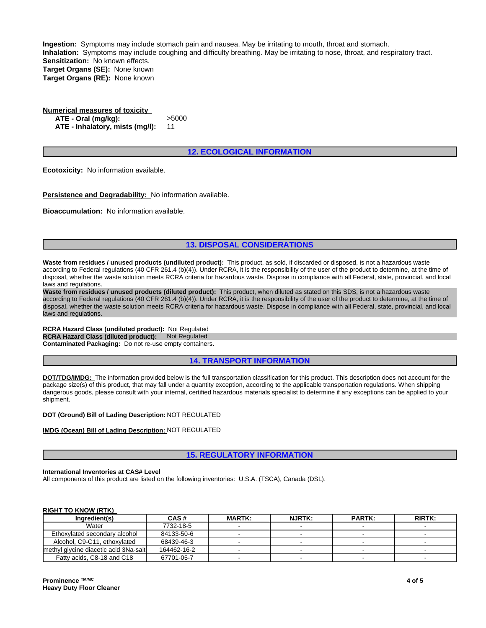**Ingestion:** Symptoms may include stomach pain and nausea. May be irritating to mouth, throat and stomach. **Inhalation:** Symptoms may include coughing and difficulty breathing. May be irritating to nose, throat, and respiratory tract. **Sensitization:** No known effects. **Target Organs (SE):** None known **Target Organs (RE):** None known

**Numerical measures of toxicity ATE - Oral (mg/kg):** >5000 **ATE - Inhalatory, mists (mg/l):** 11

# **12. ECOLOGICAL INFORMATION**

**Ecotoxicity:** No information available.

**Persistence and Degradability:** No information available.

**Bioaccumulation:** No information available.

# **13. DISPOSAL CONSIDERATIONS**

**Waste from residues / unused products (undiluted product):** This product, as sold, if discarded or disposed, is not a hazardous waste according to Federal regulations (40 CFR 261.4 (b)(4)). Under RCRA, it is the responsibility of the user of the product to determine, at the time of disposal, whether the waste solution meets RCRA criteria for hazardous waste. Dispose in compliance with all Federal, state, provincial, and local laws and regulations.

**Waste from residues / unused products (diluted product):** This product, when diluted as stated on this SDS, is not a hazardous waste according to Federal regulations (40 CFR 261.4 (b)(4)). Under RCRA, it is the responsibility of the user of the product to determine, at the time of disposal, whether the waste solution meets RCRA criteria for hazardous waste. Dispose in compliance with all Federal, state, provincial, and local laws and regulations.

**RCRA Hazard Class (undiluted product):** Not Regulated **RCRA Hazard Class (diluted product): Not Regulated Contaminated Packaging:** Do not re-use empty containers.

#### **14. TRANSPORT INFORMATION**

**DOT/TDG/IMDG:** The information provided below is the full transportation classification for this product. This description does not account for the package size(s) of this product, that may fall under a quantity exception, according to the applicable transportation regulations. When shipping dangerous goods, please consult with your internal, certified hazardous materials specialist to determine if any exceptions can be applied to your shipment.

# **DOT (Ground) Bill of Lading Description:** NOT REGULATED

#### **IMDG (Ocean) Bill of Lading Description:** NOT REGULATED

### **15. REGULATORY INFORMATION**

# **International Inventories at CAS# Level**

All components of this product are listed on the following inventories: U.S.A. (TSCA), Canada (DSL).

#### **RIGHT TO KNOW (RTK)**

| Ingredient(s)                         | CAS#        | <b>MARTK:</b> | <b>NJRTK:</b> | <b>PARTK:</b> | <b>RIRTK:</b> |
|---------------------------------------|-------------|---------------|---------------|---------------|---------------|
| Water                                 | 7732-18-5   |               |               |               |               |
| Ethoxylated secondary alcohol         | 84133-50-6  |               |               |               |               |
| Alcohol. C9-C11. ethoxylated          | 68439-46-3  |               |               |               |               |
| methyl glycine diacetic acid 3Na-salt | 164462-16-2 |               |               |               |               |
| Fatty acids, C8-18 and C18            | 67701-05-7  |               |               |               |               |